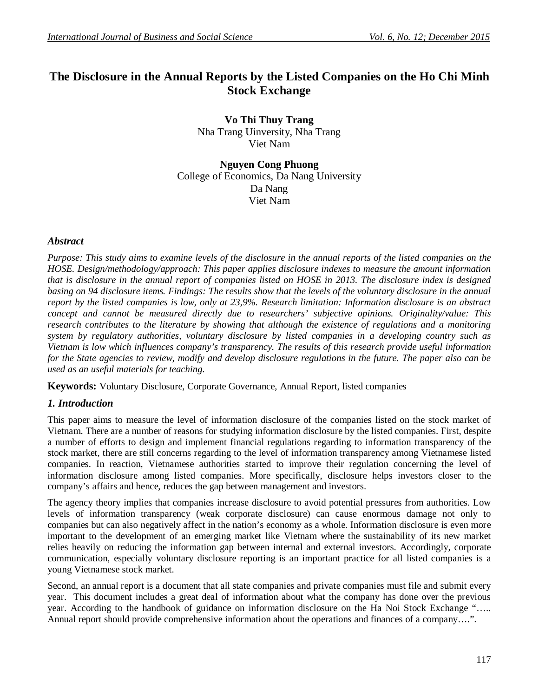# **The Disclosure in the Annual Reports by the Listed Companies on the Ho Chi Minh Stock Exchange**

**Vo Thi Thuy Trang** Nha Trang Uinversity, Nha Trang Viet Nam

**Nguyen Cong Phuong** College of Economics, Da Nang University Da Nang Viet Nam

### *Abstract*

*Purpose: This study aims to examine levels of the disclosure in the annual reports of the listed companies on the HOSE. Design/methodology/approach: This paper applies disclosure indexes to measure the amount information that is disclosure in the annual report of companies listed on HOSE in 2013. The disclosure index is designed basing on 94 disclosure items. Findings: The results show that the levels of the voluntary disclosure in the annual report by the listed companies is low, only at 23,9%. Research limitation: Information disclosure is an abstract concept and cannot be measured directly due to researchers' subjective opinions. Originality/value: This research contributes to the literature by showing that although the existence of regulations and a monitoring system by regulatory authorities, voluntary disclosure by listed companies in a developing country such as Vietnam is low which influences company's transparency. The results of this research provide useful information for the State agencies to review, modify and develop disclosure regulations in the future. The paper also can be used as an useful materials for teaching.*

**Keywords:** Voluntary Disclosure, Corporate Governance, Annual Report, listed companies

### *1. Introduction*

This paper aims to measure the level of information disclosure of the companies listed on the stock market of Vietnam. There are a number of reasons for studying information disclosure by the listed companies. First, despite a number of efforts to design and implement financial regulations regarding to information transparency of the stock market, there are still concerns regarding to the level of information transparency among Vietnamese listed companies. In reaction, Vietnamese authorities started to improve their regulation concerning the level of information disclosure among listed companies. More specifically, disclosure helps investors closer to the company's affairs and hence, reduces the gap between management and investors.

The agency theory implies that companies increase disclosure to avoid potential pressures from authorities. Low levels of information transparency (weak corporate disclosure) can cause enormous damage not only to companies but can also negatively affect in the nation's economy as a whole. Information disclosure is even more important to the development of an emerging market like Vietnam where the sustainability of its new market relies heavily on reducing the information gap between internal and external investors. Accordingly, corporate communication, especially voluntary disclosure reporting is an important practice for all listed companies is a young Vietnamese stock market.

Second, an annual report is a document that all state companies and private companies must file and submit every year. This document includes a great deal of information about what the company has done over the previous year. According to the handbook of guidance on information disclosure on the Ha Noi Stock Exchange "….. Annual report should provide comprehensive information about the operations and finances of a company….".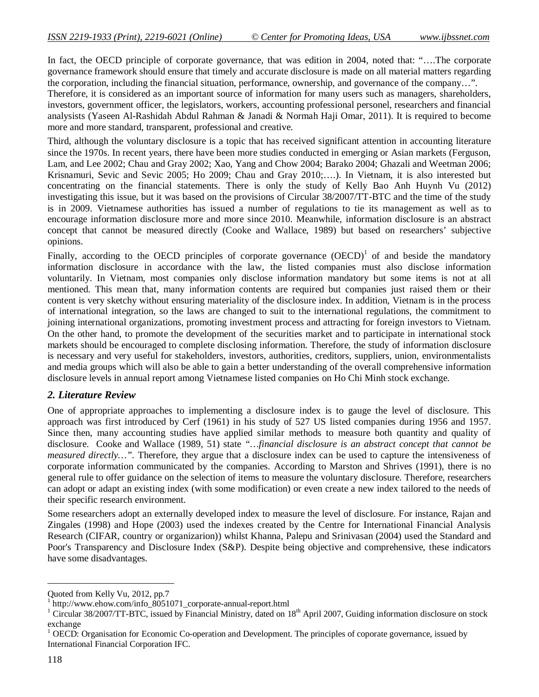In fact, the OECD principle of corporate governance, that was edition in 2004, noted that: "....The corporate governance framework should ensure that timely and accurate disclosure is made on all material matters regarding the corporation, including the financial situation, performance, ownership, and governance of the company…".

Therefore, it is considered as an important source of information for many users such as managers, shareholders, investors, government officer, the legislators, workers, accounting professional personel, researchers and financial analysists (Yaseen Al-Rashidah Abdul Rahman & Janadi & Normah Haji Omar, 2011). It is required to become more and more standard, transparent, professional and creative.

Third, although the voluntary disclosure is a topic that has received significant attention in accounting literature since the 1970s. In recent years, there have been more studies conducted in emerging or Asian markets (Ferguson, Lam, and Lee 2002; Chau and Gray 2002; Xao, Yang and Chow 2004; Barako 2004; Ghazali and Weetman 2006; Krisnamuri, Sevic and Sevic 2005; Ho 2009; Chau and Gray 2010;….). In Vietnam, it is also interested but concentrating on the financial statements. There is only the study of Kelly Bao Anh Huynh Vu (2012) investigating this issue, but it was based on the provisions of Circular 38/2007/TT-BTC and the time of the study is in 2009. Vietnamese authorities has issued a number of regulations to tie its management as well as to encourage information disclosure more and more since 2010. Meanwhile, information disclosure is an abstract concept that cannot be measured directly (Cooke and Wallace, 1989) but based on researchers' subjective opinions.

Finally, according to the OECD principles of corporate governance  $(OECD)^1$  of and beside the mandatory information disclosure in accordance with the law, the listed companies must also disclose information voluntarily. In Vietnam, most companies only disclose information mandatory but some items is not at all mentioned. This mean that, many information contents are required but companies just raised them or their content is very sketchy without ensuring materiality of the disclosure index. In addition, Vietnam is in the process of international integration, so the laws are changed to suit to the international regulations, the commitment to joining international organizations, promoting investment process and attracting for foreign investors to Vietnam. On the other hand, to promote the development of the securities market and to participate in international stock markets should be encouraged to complete disclosing information. Therefore, the study of information disclosure is necessary and very useful for stakeholders, investors, authorities, creditors, suppliers, union, environmentalists and media groups which will also be able to gain a better understanding of the overall comprehensive information disclosure levels in annual report among Vietnamese listed companies on Ho Chi Minh stock exchange.

### *2. Literature Review*

One of appropriate approaches to implementing a disclosure index is to gauge the level of disclosure. This approach was first introduced by Cerf (1961) in his study of 527 US listed companies during 1956 and 1957. Since then, many accounting studies have applied similar methods to measure both quantity and quality of disclosure. Cooke and Wallace (1989, 51) state *"…financial disclosure is an abstract concept that cannot be measured directly…".* Therefore, they argue that a disclosure index can be used to capture the intensiveness of corporate information communicated by the companies. According to Marston and Shrives (1991), there is no general rule to offer guidance on the selection of items to measure the voluntary disclosure. Therefore, researchers can adopt or adapt an existing index (with some modification) or even create a new index tailored to the needs of their specific research environment.

Some researchers adopt an externally developed index to measure the level of disclosure. For instance, Rajan and Zingales (1998) and Hope (2003) used the indexes created by the Centre for International Financial Analysis Research (CIFAR, country or organizarion)) whilst Khanna, Palepu and Srinivasan (2004) used the Standard and Poor's Transparency and Disclosure Index (S&P). Despite being objective and comprehensive, these indicators have some disadvantages.

 $\overline{a}$ 

Quoted from Kelly Vu, 2012, pp.7

<sup>1</sup> http://www.ehow.com/info\_8051071\_corporate-annual-report.html

 $1.1$  Circular 38/2007/TT-BTC, issued by Financial Ministry, dated on  $18<sup>th</sup>$  April 2007, Guiding information disclosure on stock exchange

<sup>1</sup> OECD: Organisation for Economic Co-operation and Development. The principles of coporate governance, issued by International Financial Corporation IFC.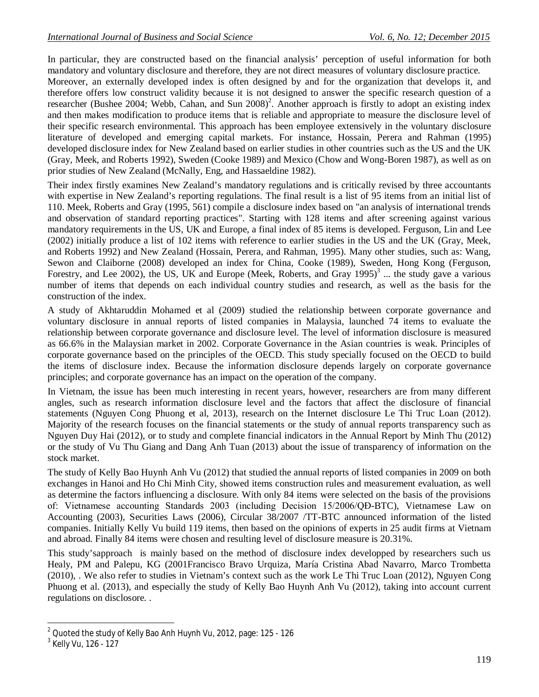In particular, they are constructed based on the financial analysis' perception of useful information for both mandatory and voluntary disclosure and therefore, they are not direct measures of voluntary disclosure practice.

Moreover, an externally developed index is often designed by and for the organization that develops it, and therefore offers low construct validity because it is not designed to answer the specific research question of a researcher (Bushee 2004; Webb, Cahan, and Sun 2008)<sup>2</sup>. Another approach is firstly to adopt an existing index and then makes modification to produce items that is reliable and appropriate to measure the disclosure level of their specific research environmental. This approach has been employee extensively in the voluntary disclosure literature of developed and emerging capital markets. For instance, Hossain, Perera and Rahman (1995) developed disclosure index for New Zealand based on earlier studies in other countries such as the US and the UK (Gray, Meek, and Roberts 1992), Sweden (Cooke 1989) and Mexico (Chow and Wong-Boren 1987), as well as on prior studies of New Zealand (McNally, Eng, and Hassaeldine 1982).

Their index firstly examines New Zealand's mandatory regulations and is critically revised by three accountants with expertise in New Zealand's reporting regulations. The final result is a list of 95 items from an initial list of 110. Meek, Roberts and Gray (1995, 561) compile a disclosure index based on "an analysis of international trends and observation of standard reporting practices". Starting with 128 items and after screening against various mandatory requirements in the US, UK and Europe, a final index of 85 items is developed. Ferguson, Lin and Lee (2002) initially produce a list of 102 items with reference to earlier studies in the US and the UK (Gray, Meek, and Roberts 1992) and New Zealand (Hossain, Perera, and Rahman, 1995). Many other studies, such as: Wang, Sewon and Claiborne (2008) developed an index for China, Cooke (1989), Sweden, Hong Kong (Ferguson, Forestry, and Lee 2002), the US, UK and Europe (Meek, Roberts, and Gray  $1995$ )<sup>3</sup> ... the study gave a various number of items that depends on each individual country studies and research, as well as the basis for the construction of the index.

A study of Akhtaruddin Mohamed et al (2009) studied the relationship between corporate governance and voluntary disclosure in annual reports of listed companies in Malaysia, launched 74 items to evaluate the relationship between corporate governance and disclosure level. The level of information disclosure is measured as 66.6% in the Malaysian market in 2002. Corporate Governance in the Asian countries is weak. Principles of corporate governance based on the principles of the OECD. This study specially focused on the OECD to build the items of disclosure index. Because the information disclosure depends largely on corporate governance principles; and corporate governance has an impact on the operation of the company.

In Vietnam, the issue has been much interesting in recent years, however, researchers are from many different angles, such as research information disclosure level and the factors that affect the disclosure of financial statements (Nguyen Cong Phuong et al, 2013), research on the Internet disclosure Le Thi Truc Loan (2012). Majority of the research focuses on the financial statements or the study of annual reports transparency such as Nguyen Duy Hai (2012), or to study and complete financial indicators in the Annual Report by Minh Thu (2012) or the study of Vu Thu Giang and Dang Anh Tuan (2013) about the issue of transparency of information on the stock market.

The study of Kelly Bao Huynh Anh Vu (2012) that studied the annual reports of listed companies in 2009 on both exchanges in Hanoi and Ho Chi Minh City, showed items construction rules and measurement evaluation, as well as determine the factors influencing a disclosure. With only 84 items were selected on the basis of the provisions of: Vietnamese accounting Standards 2003 (including Decision 15/2006/QĐ-BTC), Vietnamese Law on Accounting (2003), Securities Laws (2006), Circular 38/2007 /TT-BTC announced information of the listed companies. Initially Kelly Vu build 119 items, then based on the opinions of experts in 25 audit firms at Vietnam and abroad. Finally 84 items were chosen and resulting level of disclosure measure is 20.31%.

This study'sapproach is mainly based on the method of disclosure index developped by researchers such us Healy, PM and Palepu, KG (2001Francisco Bravo Urquiza, María Cristina Abad Navarro, Marco Trombetta (2010), . We also refer to studies in Vietnam's context such as the work Le Thi Truc Loan (2012), Nguyen Cong Phuong et al. (2013), and especially the study of Kelly Bao Huynh Anh Vu (2012), taking into account current regulations on disclosore. .

 $\overline{\phantom{a}}$ 

 $2$  Quoted the study of Kelly Bao Anh Huynh Vu, 2012, page: 125 - 126

<sup>&</sup>lt;sup>3</sup> Kelly Vu, 126 - 127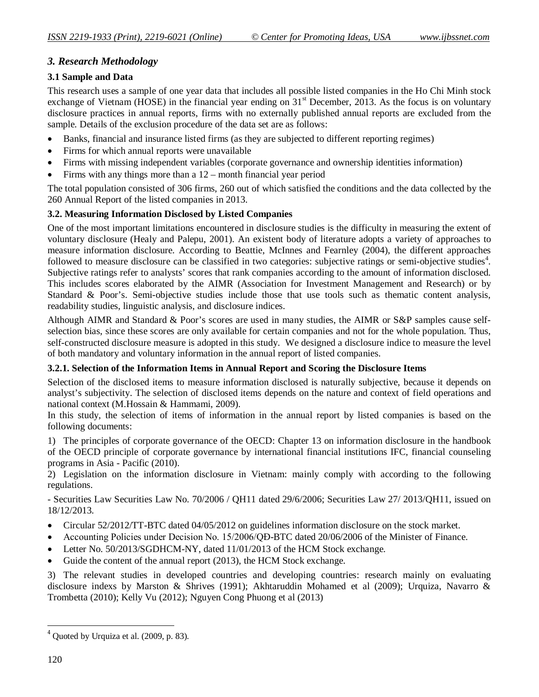## *3. Research Methodology*

## **3.1 Sample and Data**

This research uses a sample of one year data that includes all possible listed companies in the Ho Chi Minh stock exchange of Vietnam (HOSE) in the financial year ending on 31<sup>st</sup> December, 2013. As the focus is on voluntary disclosure practices in annual reports, firms with no externally published annual reports are excluded from the sample. Details of the exclusion procedure of the data set are as follows:

- Banks, financial and insurance listed firms (as they are subjected to different reporting regimes)
- Firms for which annual reports were unavailable
- Firms with missing independent variables (corporate governance and ownership identities information)
- Firms with any things more than a 12 month financial year period

The total population consisted of 306 firms, 260 out of which satisfied the conditions and the data collected by the 260 Annual Report of the listed companies in 2013.

## **3.2. Measuring Information Disclosed by Listed Companies**

One of the most important limitations encountered in disclosure studies is the difficulty in measuring the extent of voluntary disclosure (Healy and Palepu, 2001). An existent body of literature adopts a variety of approaches to measure information disclosure. According to Beattie, McInnes and Fearnley (2004), the different approaches followed to measure disclosure can be classified in two categories: subjective ratings or semi-objective studies<sup>4</sup>. Subjective ratings refer to analysts' scores that rank companies according to the amount of information disclosed. This includes scores elaborated by the AIMR (Association for Investment Management and Research) or by Standard & Poor's. Semi-objective studies include those that use tools such as thematic content analysis, readability studies, linguistic analysis, and disclosure indices.

Although AIMR and Standard & Poor's scores are used in many studies, the AIMR or S&P samples cause selfselection bias, since these scores are only available for certain companies and not for the whole population. Thus, self-constructed disclosure measure is adopted in this study. We designed a disclosure indice to measure the level of both mandatory and voluntary information in the annual report of listed companies.

## **3.2.1. Selection of the Information Items in Annual Report and Scoring the Disclosure Items**

Selection of the disclosed items to measure information disclosed is naturally subjective, because it depends on analyst's subjectivity. The selection of disclosed items depends on the nature and context of field operations and national context (M.Hossain & Hammami, 2009).

In this study, the selection of items of information in the annual report by listed companies is based on the following documents:

1) The principles of corporate governance of the OECD: Chapter 13 on information disclosure in the handbook of the OECD principle of corporate governance by international financial institutions IFC, financial counseling programs in Asia - Pacific (2010).

2) Legislation on the information disclosure in Vietnam: mainly comply with according to the following regulations.

- Securities Law Securities Law No. 70/2006 / QH11 dated 29/6/2006; Securities Law 27/ 2013/QH11, issued on 18/12/2013.

- Circular 52/2012/TT-BTC dated 04/05/2012 on guidelines information disclosure on the stock market.
- Accounting Policies under Decision No. 15/2006/QĐ-BTC dated 20/06/2006 of the Minister of Finance.
- Letter No. 50/2013/SGDHCM-NY, dated 11/01/2013 of the HCM Stock exchange.
- Guide the content of the annual report (2013), the HCM Stock exchange.

3) The relevant studies in developed countries and developing countries: research mainly on evaluating disclosure indexs by Marston & Shrives (1991); Akhtaruddin Mohamed et al (2009); Urquiza, Navarro & Trombetta (2010); Kelly Vu (2012); Nguyen Cong Phuong et al (2013)

 $\overline{\phantom{a}}$  $<sup>4</sup>$  Quoted by Urquiza et al. (2009, p. 83).</sup>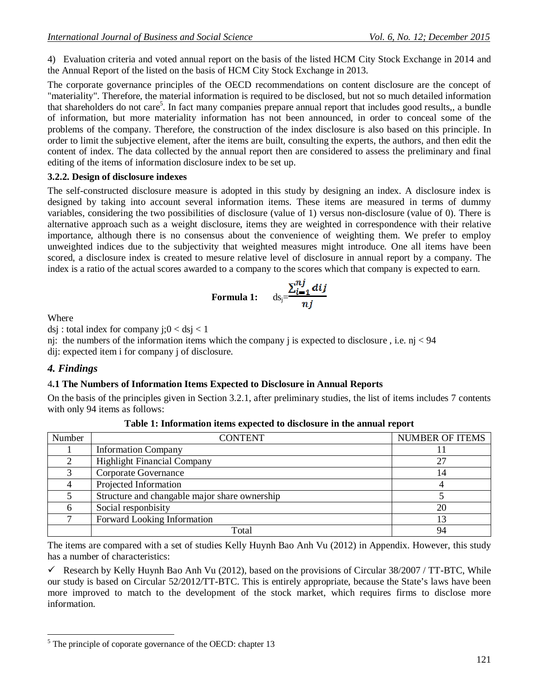4) Evaluation criteria and voted annual report on the basis of the listed HCM City Stock Exchange in 2014 and the Annual Report of the listed on the basis of HCM City Stock Exchange in 2013.

The corporate governance principles of the OECD recommendations on content disclosure are the concept of "materiality". Therefore, the material information is required to be disclosed, but not so much detailed information that shareholders do not care<sup>5</sup>. In fact many companies prepare annual report that includes good results,, a bundle of information, but more materiality information has not been announced, in order to conceal some of the problems of the company. Therefore, the construction of the index disclosure is also based on this principle. In order to limit the subjective element, after the items are built, consulting the experts, the authors, and then edit the content of index. The data collected by the annual report then are considered to assess the preliminary and final editing of the items of information disclosure index to be set up.

## **3.2.2. Design of disclosure indexes**

The self-constructed disclosure measure is adopted in this study by designing an index. A disclosure index is designed by taking into account several information items. These items are measured in terms of dummy variables, considering the two possibilities of disclosure (value of 1) versus non-disclosure (value of 0). There is alternative approach such as a weight disclosure, items they are weighted in correspondence with their relative importance, although there is no consensus about the convenience of weighting them. We prefer to employ unweighted indices due to the subjectivity that weighted measures might introduce. One all items have been scored, a disclosure index is created to mesure relative level of disclosure in annual report by a company. The index is a ratio of the actual scores awarded to a company to the scores which that company is expected to earn.

Formula 1: 
$$
ds_j = \frac{\sum_{i=1}^{n_j} dij}{nj}
$$

Where

dsj : total index for company  $i; 0 < ds$ j < 1

nj: the numbers of the information items which the company j is expected to disclosure , i.e. nj < 94 dij: expected item i for company j of disclosure.

## *4. Findings*

### 4**.1 The Numbers of Information Items Expected to Disclosure in Annual Reports**

On the basis of the principles given in Section 3.2.1, after preliminary studies, the list of items includes 7 contents with only 94 items as follows:

| Number | <b>CONTENT</b>                                | <b>NUMBER OF ITEMS</b> |
|--------|-----------------------------------------------|------------------------|
|        | <b>Information Company</b>                    |                        |
|        | <b>Highlight Financial Company</b>            | 27                     |
|        | Corporate Governance                          | 14                     |
|        | Projected Information                         |                        |
|        | Structure and changable major share ownership |                        |
|        | Social responbisity                           | 20                     |
|        | Forward Looking Information                   |                        |
|        | Total                                         | 94                     |

|  |  |  | Table 1: Information items expected to disclosure in the annual report |  |  |  |
|--|--|--|------------------------------------------------------------------------|--|--|--|
|--|--|--|------------------------------------------------------------------------|--|--|--|

The items are compared with a set of studies Kelly Huynh Bao Anh Vu (2012) in Appendix. However, this study has a number of characteristics:

Research by Kelly Huynh Bao Anh Vu (2012), based on the provisions of Circular  $38/2007$  / TT-BTC, While our study is based on Circular 52/2012/TT-BTC. This is entirely appropriate, because the State's laws have been more improved to match to the development of the stock market, which requires firms to disclose more information.

 $\overline{a}$ <sup>5</sup> The principle of coporate governance of the OECD: chapter 13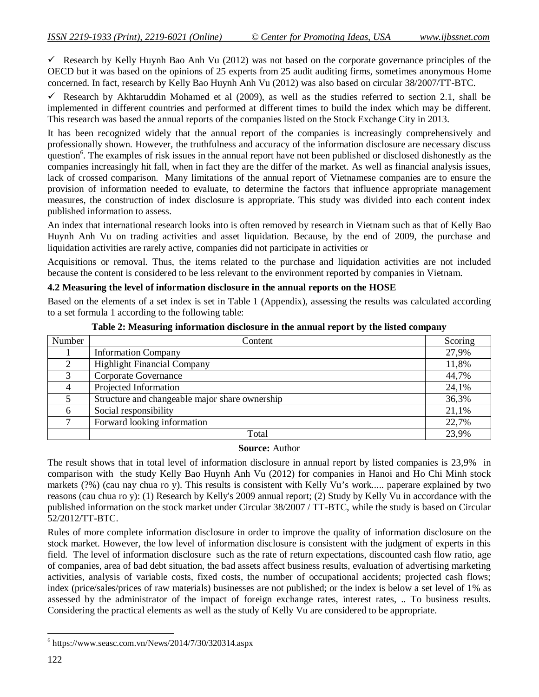Research by Kelly Huynh Bao Anh Vu (2012) was not based on the corporate governance principles of the OECD but it was based on the opinions of 25 experts from 25 audit auditing firms, sometimes anonymous Home concerned. In fact, research by Kelly Bao Huynh Anh Vu (2012) was also based on circular 38/2007/TT-BTC.

Research by Akhtaruddin Mohamed et al  $(2009)$ , as well as the studies referred to section 2.1, shall be implemented in different countries and performed at different times to build the index which may be different. This research was based the annual reports of the companies listed on the Stock Exchange City in 2013.

It has been recognized widely that the annual report of the companies is increasingly comprehensively and professionally shown. However, the truthfulness and accuracy of the information disclosure are necessary discuss question<sup>6</sup>. The examples of risk issues in the annual report have not been published or disclosed dishonestly as the companies increasingly hit fall, when in fact they are the differ of the market. As well as financial analysis issues, lack of crossed comparison. Many limitations of the annual report of Vietnamese companies are to ensure the provision of information needed to evaluate, to determine the factors that influence appropriate management measures, the construction of index disclosure is appropriate. This study was divided into each content index published information to assess.

An index that international research looks into is often removed by research in Vietnam such as that of Kelly Bao Huynh Anh Vu on trading activities and asset liquidation. Because, by the end of 2009, the purchase and liquidation activities are rarely active, companies did not participate in activities or

Acquisitions or removal. Thus, the items related to the purchase and liquidation activities are not included because the content is considered to be less relevant to the environment reported by companies in Vietnam.

#### **4.2 Measuring the level of information disclosure in the annual reports on the HOSE**

Based on the elements of a set index is set in Table 1 (Appendix), assessing the results was calculated according to a set formula 1 according to the following table:

| Number | Content                                        | Scoring |
|--------|------------------------------------------------|---------|
|        | <b>Information Company</b>                     | 27,9%   |
|        | <b>Highlight Financial Company</b>             | 11,8%   |
|        | Corporate Governance                           | 44,7%   |
|        | Projected Information                          | 24,1%   |
|        | Structure and changeable major share ownership | 36,3%   |
| 6      | Social responsibility                          | 21,1%   |
|        | Forward looking information                    | 22,7%   |
|        | Total                                          | 23,9%   |

**Table 2: Measuring information disclosure in the annual report by the listed company**

#### **Source:** Author

The result shows that in total level of information disclosure in annual report by listed companies is 23,9% in comparison with the study Kelly Bao Huynh Anh Vu (2012) for companies in Hanoi and Ho Chi Minh stock markets (?%) (cau nay chua ro y). This results is consistent with Kelly Vu's work..... paperare explained by two reasons (cau chua ro y): (1) Research by Kelly's 2009 annual report; (2) Study by Kelly Vu in accordance with the published information on the stock market under Circular 38/2007 / TT-BTC, while the study is based on Circular 52/2012/TT-BTC.

Rules of more complete information disclosure in order to improve the quality of information disclosure on the stock market. However, the low level of information disclosure is consistent with the judgment of experts in this field. The level of information disclosure such as the rate of return expectations, discounted cash flow ratio, age of companies, area of bad debt situation, the bad assets affect business results, evaluation of advertising marketing activities, analysis of variable costs, fixed costs, the number of occupational accidents; projected cash flows; index (price/sales/prices of raw materials) businesses are not published; or the index is below a set level of 1% as assessed by the administrator of the impact of foreign exchange rates, interest rates, .. To business results. Considering the practical elements as well as the study of Kelly Vu are considered to be appropriate.

 $\overline{a}$ 

<sup>6</sup> https://www.seasc.com.vn/News/2014/7/30/320314.aspx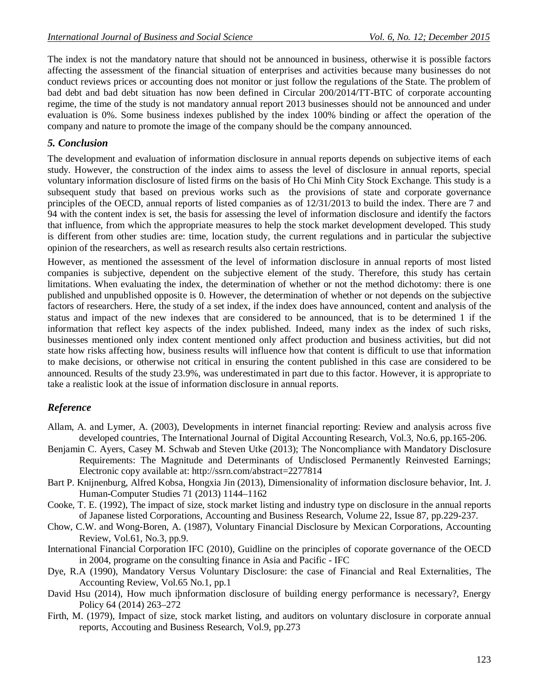The index is not the mandatory nature that should not be announced in business, otherwise it is possible factors affecting the assessment of the financial situation of enterprises and activities because many businesses do not conduct reviews prices or accounting does not monitor or just follow the regulations of the State. The problem of bad debt and bad debt situation has now been defined in Circular 200/2014/TT-BTC of corporate accounting regime, the time of the study is not mandatory annual report 2013 businesses should not be announced and under evaluation is 0%. Some business indexes published by the index 100% binding or affect the operation of the company and nature to promote the image of the company should be the company announced.

## *5. Conclusion*

The development and evaluation of information disclosure in annual reports depends on subjective items of each study. However, the construction of the index aims to assess the level of disclosure in annual reports, special voluntary information disclosure of listed firms on the basis of Ho Chi Minh City Stock Exchange. This study is a subsequent study that based on previous works such as the provisions of state and corporate governance principles of the OECD, annual reports of listed companies as of 12/31/2013 to build the index. There are 7 and 94 with the content index is set, the basis for assessing the level of information disclosure and identify the factors that influence, from which the appropriate measures to help the stock market development developed. This study is different from other studies are: time, location study, the current regulations and in particular the subjective opinion of the researchers, as well as research results also certain restrictions.

However, as mentioned the assessment of the level of information disclosure in annual reports of most listed companies is subjective, dependent on the subjective element of the study. Therefore, this study has certain limitations. When evaluating the index, the determination of whether or not the method dichotomy: there is one published and unpublished opposite is 0. However, the determination of whether or not depends on the subjective factors of researchers. Here, the study of a set index, if the index does have announced, content and analysis of the status and impact of the new indexes that are considered to be announced, that is to be determined 1 if the information that reflect key aspects of the index published. Indeed, many index as the index of such risks, businesses mentioned only index content mentioned only affect production and business activities, but did not state how risks affecting how, business results will influence how that content is difficult to use that information to make decisions, or otherwise not critical in ensuring the content published in this case are considered to be announced. Results of the study 23.9%, was underestimated in part due to this factor. However, it is appropriate to take a realistic look at the issue of information disclosure in annual reports.

## *Reference*

- Allam, A. and Lymer, A. (2003), Developments in internet financial reporting: Review and analysis across five developed countries, The International Journal of Digital Accounting Research, Vol.3, No.6, pp.165-206.
- Benjamin C. Ayers, Casey M. Schwab and Steven Utke (2013); The Noncompliance with Mandatory Disclosure Requirements: The Magnitude and Determinants of Undisclosed Permanently Reinvested Earnings; Electronic copy available at: http://ssrn.com/abstract=2277814
- Bart P. Knijnenburg, Alfred Kobsa, Hongxia Jin (2013), Dimensionality of information disclosure behavior, Int. J. Human-Computer Studies 71 (2013) 1144–1162
- Cooke, T. E. (1992), The impact of size, stock market listing and industry type on disclosure in the annual reports of Japanese listed Corporations, Accounting and Business Research, Volume 22, Issue 87, pp.229-237.
- Chow, C.W. and Wong-Boren, A. (1987), Voluntary Financial Disclosure by Mexican Corporations, Accounting Review, Vol.61, No.3, pp.9.
- International Financial Corporation IFC (2010), Guidline on the principles of coporate governance of the OECD in 2004, programe on the consulting finance in Asia and Pacific - IFC
- Dye, R.A (1990), Mandatory Versus Voluntary Disclosure: the case of Financial and Real Externalities, The Accounting Review, Vol.65 No.1, pp.1
- David Hsu (2014), How much iþnformation disclosure of building energy performance is necessary?, Energy Policy 64 (2014) 263–272
- Firth, M. (1979), Impact of size, stock market listing, and auditors on voluntary disclosure in corporate annual reports, Accouting and Business Research, Vol.9, pp.273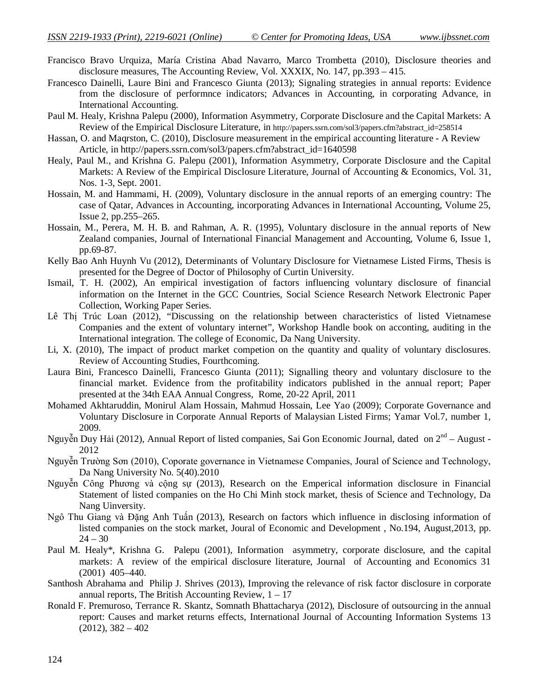- Francisco Bravo Urquiza, María Cristina Abad Navarro, Marco Trombetta (2010), Disclosure theories and disclosure measures, The Accounting Review, Vol. XXXIX, No. 147, pp.393 – 415.
- Francesco Dainelli, Laure Bini and Francesco Giunta (2013); Signaling strategies in annual reports: Evidence from the disclosure of performnce indicators; Advances in Accounting, in corporating Advance, in International Accounting.
- Paul M. Healy, Krishna Palepu (2000), Information Asymmetry, Corporate Disclosure and the Capital Markets: A Review of the Empirical Disclosure Literature, in http://papers.ssrn.com/sol3/papers.cfm?abstract\_id=258514
- Hassan, O. and Maqrston, C. (2010), Disclosure measurement in the empirical accounting literature A Review Article, in http://papers.ssrn.com/sol3/papers.cfm?abstract\_id=1640598
- Healy, Paul M., and Krishna G. Palepu (2001), Information Asymmetry, Corporate Disclosure and the Capital Markets: A Review of the Empirical Disclosure Literature, Journal of Accounting & Economics, Vol. 31, Nos. 1-3, Sept. 2001.
- Hossain, M. and Hammami, H. (2009), Voluntary disclosure in the annual reports of an emerging country: The case of Qatar, Advances in Accounting, incorporating Advances in International Accounting, Volume 25, Issue 2, pp.255–265.
- Hossain, M., Perera, M. H. B. and Rahman, A. R. (1995), Voluntary disclosure in the annual reports of New Zealand companies, Journal of International Financial Management and Accounting, Volume 6, Issue 1, pp.69-87.
- Kelly Bao Anh Huynh Vu (2012), Determinants of Voluntary Disclosure for Vietnamese Listed Firms, Thesis is presented for the Degree of Doctor of Philosophy of Curtin University.
- Ismail, T. H. (2002), An empirical investigation of factors influencing voluntary disclosure of financial information on the Internet in the GCC Countries, Social Science Research Network Electronic Paper Collection, Working Paper Series.
- Lê Thị Trúc Loan (2012), "Discussing on the relationship between characteristics of listed Vietnamese Companies and the extent of voluntary internet", Workshop Handle book on acconting, auditing in the International integration. The college of Economic, Da Nang University.
- Li, X. (2010), The impact of product market competion on the quantity and quality of voluntary disclosures. Review of Accounting Studies, Fourthcoming.
- Laura Bini, Francesco Dainelli, Francesco Giunta (2011); Signalling theory and voluntary disclosure to the financial market. Evidence from the profitability indicators published in the annual report; Paper presented at the 34th EAA Annual Congress, Rome, 20-22 April, 2011
- Mohamed Akhtaruddin, Monirul Alam Hossain, Mahmud Hossain, Lee Yao (2009); Corporate Governance and Voluntary Disclosure in Corporate Annual Reports of Malaysian Listed Firms; Yamar Vol.7, number 1, 2009.
- Nguyễn Duy Hải (2012), Annual Report of listed companies, Sai Gon Economic Journal, dated on 2<sup>nd</sup> August -2012
- Nguyễn Trường Sơn (2010), Coporate governance in Vietnamese Companies, Joural of Science and Technology, Da Nang University No. 5(40).2010
- Nguyễn Công Phương và cộng sự (2013), Research on the Emperical information disclosure in Financial Statement of listed companies on the Ho Chi Minh stock market, thesis of Science and Technology, Da Nang Uinversity.
- Ngô Thu Giang và Đặng Anh Tuấn (2013), Research on factors which influence in disclosing information of listed companies on the stock market, Joural of Economic and Development , No.194, August,2013, pp.  $24 - 30$
- Paul M. Healy\*, Krishna G. Palepu (2001), Information asymmetry, corporate disclosure, and the capital markets: A review of the empirical disclosure literature, Journal of Accounting and Economics 31 (2001) 405–440.
- Santhosh Abrahama and Philip J. Shrives (2013), Improving the relevance of risk factor disclosure in corporate annual reports, The British Accounting Review,  $1 - 17$
- Ronald F. Premuroso, Terrance R. Skantz, Somnath Bhattacharya (2012), Disclosure of outsourcing in the annual report: Causes and market returns effects, International Journal of Accounting Information Systems 13  $(2012), 382 - 402$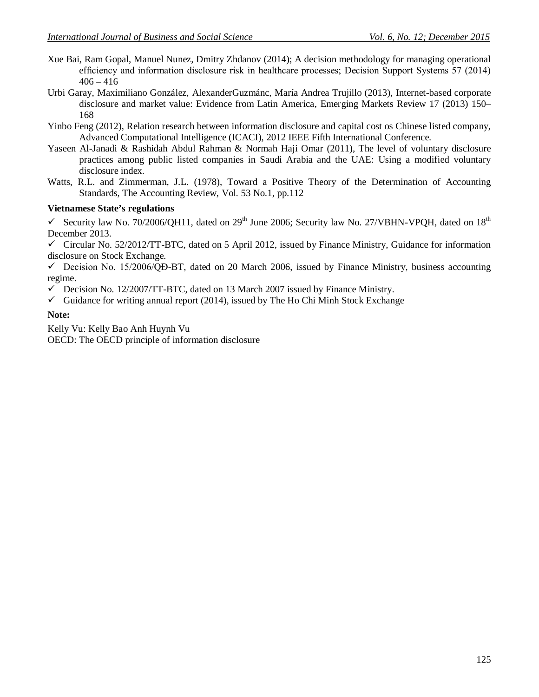- Xue Bai, Ram Gopal, Manuel Nunez, Dmitry Zhdanov (2014); A decision methodology for managing operational efficiency and information disclosure risk in healthcare processes; Decision Support Systems 57 (2014)  $406 - 416$
- Urbi Garay, Maximiliano González, AlexanderGuzmánc, María Andrea Trujillo (2013), Internet-based corporate disclosure and market value: Evidence from Latin America, Emerging Markets Review 17 (2013) 150– 168
- Yinbo Feng (2012), Relation research between information disclosure and capital cost os Chinese listed company, Advanced Computational Intelligence (ICACI), 2012 IEEE Fifth International Conference.
- Yaseen Al-Janadi & Rashidah Abdul Rahman & Normah Haji Omar (2011), The level of voluntary disclosure practices among public listed companies in Saudi Arabia and the UAE: Using a modified voluntary disclosure index.
- Watts, R.L. and Zimmerman, J.L. (1978), Toward a Positive Theory of the Determination of Accounting Standards, The Accounting Review, Vol. 53 No.1, pp.112

### **Vietnamese State's regulations**

Security law No. 70/2006/QH11, dated on 29<sup>th</sup> June 2006; Security law No. 27/VBHN-VPQH, dated on 18<sup>th</sup> December 2013.

 $\checkmark$  Circular No. 52/2012/TT-BTC, dated on 5 April 2012, issued by Finance Ministry, Guidance for information disclosure on Stock Exchange.

 $\checkmark$  Decision No. 15/2006/OĐ-BT, dated on 20 March 2006, issued by Finance Ministry, business accounting regime.

- $\checkmark$  Decision No. 12/2007/TT-BTC, dated on 13 March 2007 issued by Finance Ministry.
- $\checkmark$  Guidance for writing annual report (2014), issued by The Ho Chi Minh Stock Exchange

### **Note:**

Kelly Vu: Kelly Bao Anh Huynh Vu OECD: The OECD principle of information disclosure